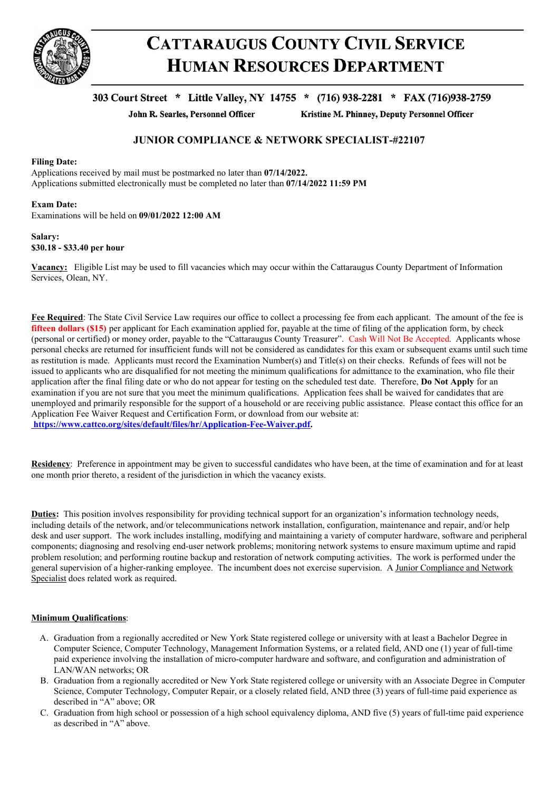

# **CATTARAUGUS COUNTY CIVIL SERVICE HUMAN RESOURCES DEPARTMENT**

# 303 Court Street \* Little Valley, NY 14755 \* (716) 938-2281 \* FAX (716)938-2759

John R. Searles, Personnel Officer

Kristine M. Phinney, Deputy Personnel Officer

# **JUNIOR COMPLIANCE & NETWORK SPECIALIST-#22107**

# **Filing Date:**

Applications received by mail must be postmarked no later than **07/14/2022.** Applications submitted electronically must be completed no later than **07/14/2022 11:59 PM**

## **Exam Date:**

Examinations will be held on **09/01/2022 12:00 AM**

## **Salary: \$30.18 - \$33.40 per hour**

**Vacancy:** Eligible List may be used to fill vacancies which may occur within the Cattaraugus County Department of Information Services, Olean, NY.

**Fee Required**: The State Civil Service Law requires our office to collect a processing fee from each applicant. The amount of the fee is **fifteen dollars (\$15)** per applicant for Each examination applied for, payable at the time of filing of the application form, by check (personal or certified) or money order, payable to the "Cattaraugus County Treasurer". Cash Will Not Be Accepted. Applicants whose personal checks are returned for insufficient funds will not be considered as candidates for this exam or subsequent exams until such time as restitution is made. Applicants must record the Examination Number(s) and Title(s) on their checks. Refunds of fees will not be issued to applicants who are disqualified for not meeting the minimum qualifications for admittance to the examination, who file their application after the final filing date or who do not appear for testing on the scheduled test date. Therefore, **Do Not Apply** for an examination if you are not sure that you meet the minimum qualifications. Application fees shall be waived for candidates that are unemployed and primarily responsible for the support of a household or are receiving public assistance. Please contact this office for an Application Fee Waiver Request and Certification Form, or download from our website at: **https://www.cattco.org/sites/default/files/hr/Application-Fee-Waiver.pdf.**

**Residency**: Preference in appointment may be given to successful candidates who have been, at the time of examination and for at least one month prior thereto, a resident of the jurisdiction in which the vacancy exists.

**Duties:** This position involves responsibility for providing technical support for an organization's information technology needs. including details of the network, and/or telecommunications network installation, configuration, maintenance and repair, and/or help desk and user support. The work includes installing, modifying and maintaining a variety of computer hardware, software and peripheral components; diagnosing and resolving end-user network problems; monitoring network systems to ensure maximum uptime and rapid problem resolution; and performing routine backup and restoration of network computing activities. The work is performed under the general supervision of a higher-ranking employee. The incumbent does not exercise supervision. A Junior Compliance and Network Specialist does related work as required.

# **Minimum Qualifications**:

- A. Graduation from a regionally accredited or New York State registered college or university with at least a Bachelor Degree in Computer Science, Computer Technology, Management Information Systems, or a related field, AND one (1) year of full-time paid experience involving the installation of micro-computer hardware and software, and configuration and administration of LAN/WAN networks; OR
- B. Graduation from a regionally accredited or New York State registered college or university with an Associate Degree in Computer Science, Computer Technology, Computer Repair, or a closely related field, AND three (3) years of full-time paid experience as described in "A" above; OR
- C. Graduation from high school or possession of a high school equivalency diploma, AND five (5) years of full-time paid experience as described in "A" above.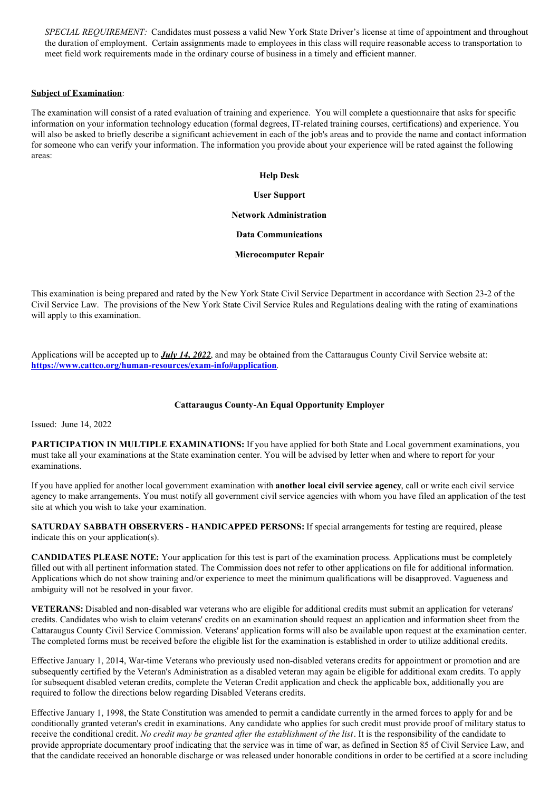*SPECIAL REQUIREMENT:* Candidates must possess a valid New York State Driver's license at time of appointment and throughout the duration of employment. Certain assignments made to employees in this class will require reasonable access to transportation to meet field work requirements made in the ordinary course of business in a timely and efficient manner.

# **Subject of Examination**:

The examination will consist of a rated evaluation of training and experience. You will complete a questionnaire that asks for specific information on your information technology education (formal degrees, IT-related training courses, certifications) and experience. You will also be asked to briefly describe a significant achievement in each of the job's areas and to provide the name and contact information for someone who can verify your information. The information you provide about your experience will be rated against the following areas:

#### **Help Desk**

#### **User Support**

### **Network Administration**

#### **Data Communications**

### **Microcomputer Repair**

This examination is being prepared and rated by the New York State Civil Service Department in accordance with Section 23-2 of the Civil Service Law. The provisions of the New York State Civil Service Rules and Regulations dealing with the rating of examinations will apply to this examination.

Applications will be accepted up to *July 14, 2022*, and may be obtained from the Cattaraugus County Civil Service website at: **<https://www.cattco.org/human-resources/exam-info#application>**.

### **Cattaraugus County-An Equal Opportunity Employer**

Issued: June 14, 2022

**PARTICIPATION IN MULTIPLE EXAMINATIONS:** If you have applied for both State and Local government examinations, you must take all your examinations at the State examination center. You will be advised by letter when and where to report for your examinations.

If you have applied for another local government examination with **another local civil service agency**, call or write each civil service agency to make arrangements. You must notify all government civil service agencies with whom you have filed an application of the test site at which you wish to take your examination.

**SATURDAY SABBATH OBSERVERS - HANDICAPPED PERSONS:** If special arrangements for testing are required, please indicate this on your application(s).

**CANDIDATES PLEASE NOTE:** Your application for this test is part of the examination process. Applications must be completely filled out with all pertinent information stated. The Commission does not refer to other applications on file for additional information. Applications which do not show training and/or experience to meet the minimum qualifications will be disapproved. Vagueness and ambiguity will not be resolved in your favor.

**VETERANS:** Disabled and non-disabled war veterans who are eligible for additional credits must submit an application for veterans' credits. Candidates who wish to claim veterans' credits on an examination should request an application and information sheet from the Cattaraugus County Civil Service Commission. Veterans' application forms will also be available upon request at the examination center. The completed forms must be received before the eligible list for the examination is established in order to utilize additional credits.

Effective January 1, 2014, War-time Veterans who previously used non-disabled veterans credits for appointment or promotion and are subsequently certified by the Veteran's Administration as a disabled veteran may again be eligible for additional exam credits. To apply for subsequent disabled veteran credits, complete the Veteran Credit application and check the applicable box, additionally you are required to follow the directions below regarding Disabled Veterans credits.

Effective January 1, 1998, the State Constitution was amended to permit a candidate currently in the armed forces to apply for and be conditionally granted veteran's credit in examinations. Any candidate who applies for such credit must provide proof of military status to receive the conditional credit. *No credit may be granted after the establishment of the list*. It is the responsibility of the candidate to provide appropriate documentary proof indicating that the service was in time of war, as defined in Section 85 of Civil Service Law, and that the candidate received an honorable discharge or was released under honorable conditions in order to be certified at a score including